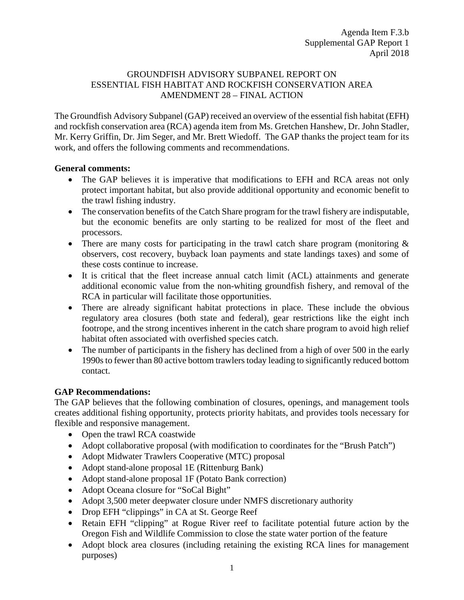## GROUNDFISH ADVISORY SUBPANEL REPORT ON ESSENTIAL FISH HABITAT AND ROCKFISH CONSERVATION AREA AMENDMENT 28 – FINAL ACTION

The Groundfish Advisory Subpanel (GAP) received an overview of the essential fish habitat (EFH) and rockfish conservation area (RCA) agenda item from Ms. Gretchen Hanshew, Dr. John Stadler, Mr. Kerry Griffin, Dr. Jim Seger, and Mr. Brett Wiedoff. The GAP thanks the project team for its work, and offers the following comments and recommendations.

## **General comments:**

- The GAP believes it is imperative that modifications to EFH and RCA areas not only protect important habitat, but also provide additional opportunity and economic benefit to the trawl fishing industry.
- The conservation benefits of the Catch Share program for the trawl fishery are indisputable, but the economic benefits are only starting to be realized for most of the fleet and processors.
- There are many costs for participating in the trawl catch share program (monitoring  $\&$ observers, cost recovery, buyback loan payments and state landings taxes) and some of these costs continue to increase.
- It is critical that the fleet increase annual catch limit (ACL) attainments and generate additional economic value from the non-whiting groundfish fishery, and removal of the RCA in particular will facilitate those opportunities.
- There are already significant habitat protections in place. These include the obvious regulatory area closures (both state and federal), gear restrictions like the eight inch footrope, and the strong incentives inherent in the catch share program to avoid high relief habitat often associated with overfished species catch.
- The number of participants in the fishery has declined from a high of over 500 in the early 1990s to fewer than 80 active bottom trawlers today leading to significantly reduced bottom contact.

# **GAP Recommendations:**

The GAP believes that the following combination of closures, openings, and management tools creates additional fishing opportunity, protects priority habitats, and provides tools necessary for flexible and responsive management.

- Open the trawl RCA coastwide
- Adopt collaborative proposal (with modification to coordinates for the "Brush Patch")
- Adopt Midwater Trawlers Cooperative (MTC) proposal
- Adopt stand-alone proposal 1E (Rittenburg Bank)
- Adopt stand-alone proposal 1F (Potato Bank correction)
- Adopt Oceana closure for "SoCal Bight"
- Adopt 3,500 meter deepwater closure under NMFS discretionary authority
- Drop EFH "clippings" in CA at St. George Reef
- Retain EFH "clipping" at Rogue River reef to facilitate potential future action by the Oregon Fish and Wildlife Commission to close the state water portion of the feature
- Adopt block area closures (including retaining the existing RCA lines for management purposes)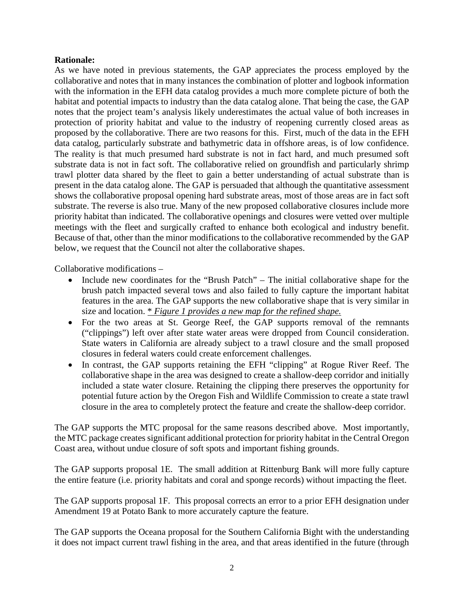### **Rationale:**

As we have noted in previous statements, the GAP appreciates the process employed by the collaborative and notes that in many instances the combination of plotter and logbook information with the information in the EFH data catalog provides a much more complete picture of both the habitat and potential impacts to industry than the data catalog alone. That being the case, the GAP notes that the project team's analysis likely underestimates the actual value of both increases in protection of priority habitat and value to the industry of reopening currently closed areas as proposed by the collaborative. There are two reasons for this. First, much of the data in the EFH data catalog, particularly substrate and bathymetric data in offshore areas, is of low confidence. The reality is that much presumed hard substrate is not in fact hard, and much presumed soft substrate data is not in fact soft. The collaborative relied on groundfish and particularly shrimp trawl plotter data shared by the fleet to gain a better understanding of actual substrate than is present in the data catalog alone. The GAP is persuaded that although the quantitative assessment shows the collaborative proposal opening hard substrate areas, most of those areas are in fact soft substrate. The reverse is also true. Many of the new proposed collaborative closures include more priority habitat than indicated. The collaborative openings and closures were vetted over multiple meetings with the fleet and surgically crafted to enhance both ecological and industry benefit. Because of that, other than the minor modifications to the collaborative recommended by the GAP below, we request that the Council not alter the collaborative shapes.

Collaborative modifications –

- Include new coordinates for the "Brush Patch" The initial collaborative shape for the brush patch impacted several tows and also failed to fully capture the important habitat features in the area. The GAP supports the new collaborative shape that is very similar in size and location. \* *Figure 1 provides a new map for the refined shape.*
- For the two areas at St. George Reef, the GAP supports removal of the remnants ("clippings") left over after state water areas were dropped from Council consideration. State waters in California are already subject to a trawl closure and the small proposed closures in federal waters could create enforcement challenges.
- In contrast, the GAP supports retaining the EFH "clipping" at Rogue River Reef. The collaborative shape in the area was designed to create a shallow-deep corridor and initially included a state water closure. Retaining the clipping there preserves the opportunity for potential future action by the Oregon Fish and Wildlife Commission to create a state trawl closure in the area to completely protect the feature and create the shallow-deep corridor.

The GAP supports the MTC proposal for the same reasons described above. Most importantly, the MTC package creates significant additional protection for priority habitat in the Central Oregon Coast area, without undue closure of soft spots and important fishing grounds.

The GAP supports proposal 1E. The small addition at Rittenburg Bank will more fully capture the entire feature (i.e. priority habitats and coral and sponge records) without impacting the fleet.

The GAP supports proposal 1F. This proposal corrects an error to a prior EFH designation under Amendment 19 at Potato Bank to more accurately capture the feature.

The GAP supports the Oceana proposal for the Southern California Bight with the understanding it does not impact current trawl fishing in the area, and that areas identified in the future (through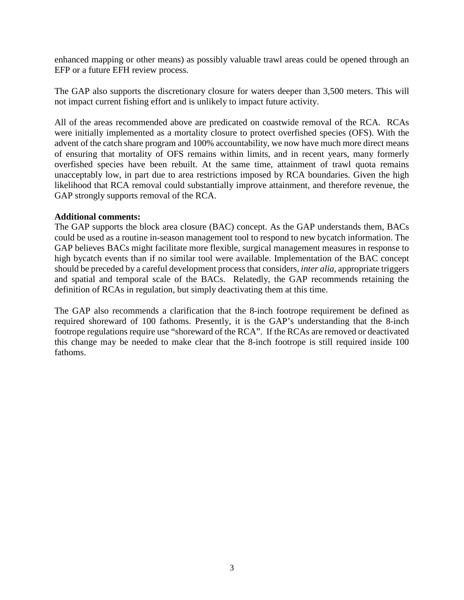enhanced mapping or other means) as possibly valuable trawl areas could be opened through an EFP or a future EFH review process.

The GAP also supports the discretionary closure for waters deeper than 3,500 meters. This will not impact current fishing effort and is unlikely to impact future activity.

All of the areas recommended above are predicated on coastwide removal of the RCA. RCAs were initially implemented as a mortality closure to protect overfished species (OFS). With the advent of the catch share program and 100% accountability, we now have much more direct means of ensuring that mortality of OFS remains within limits, and in recent years, many formerly overfished species have been rebuilt. At the same time, attainment of trawl quota remains unacceptably low, in part due to area restrictions imposed by RCA boundaries. Given the high likelihood that RCA removal could substantially improve attainment, and therefore revenue, the GAP strongly supports removal of the RCA.

### **Additional comments:**

The GAP supports the block area closure (BAC) concept. As the GAP understands them, BACs could be used as a routine in-season management tool to respond to new bycatch information. The GAP believes BACs might facilitate more flexible, surgical management measures in response to high bycatch events than if no similar tool were available. Implementation of the BAC concept should be preceded by a careful development process that considers, *inter alia,* appropriate triggers and spatial and temporal scale of the BACs. Relatedly, the GAP recommends retaining the definition of RCAs in regulation, but simply deactivating them at this time.

The GAP also recommends a clarification that the 8-inch footrope requirement be defined as required shoreward of 100 fathoms. Presently, it is the GAP's understanding that the 8-inch footrope regulations require use "shoreward of the RCA". If the RCAs are removed or deactivated this change may be needed to make clear that the 8-inch footrope is still required inside 100 fathoms.